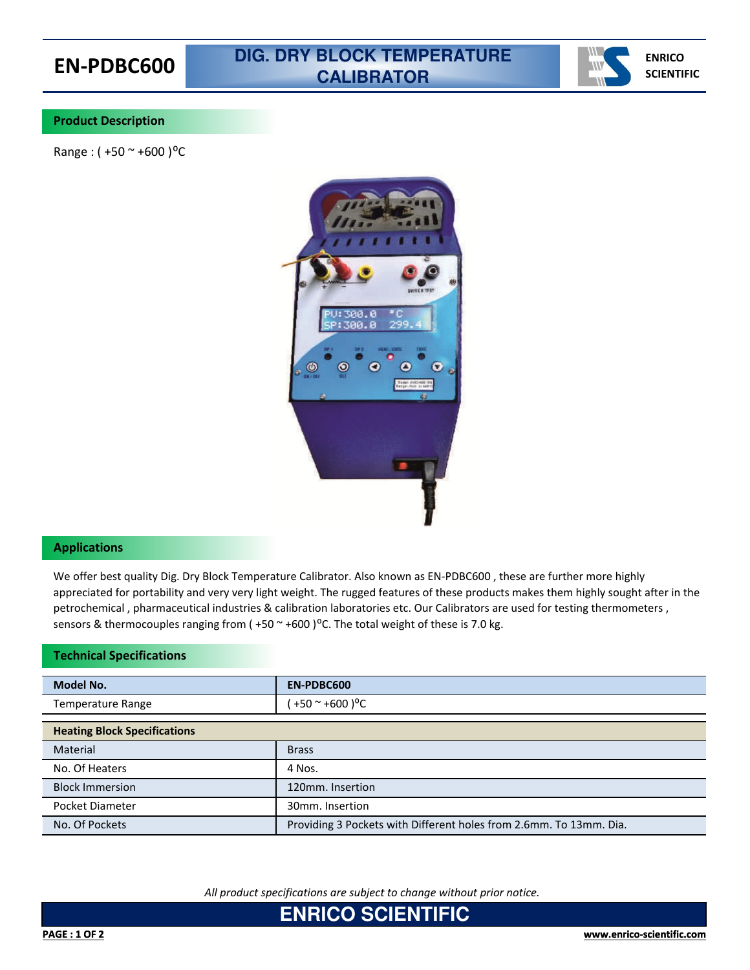

## **Product Description**

Range :  $( +50 \degree +600 )$ <sup>o</sup>C



### **Applications**

We offer best quality Dig. Dry Block Temperature Calibrator. Also known as EN-PDBC600 , these are further more highly appreciated for portability and very very light weight. The rugged features of these products makes them highly sought after in the petrochemical , pharmaceutical industries & calibration laboratories etc. Our Calibrators are used for testing thermometers , sensors & thermocouples ranging from ( $+50$   $\sim$  +600) $\degree$ C. The total weight of these is 7.0 kg.

#### **Technical Specifications**

| <b>Model No.</b>                    | EN-PDBC600                                                         |
|-------------------------------------|--------------------------------------------------------------------|
| Temperature Range                   | +50 $\sim$ +600 ) <sup>o</sup> C                                   |
| <b>Heating Block Specifications</b> |                                                                    |
| Material                            | <b>Brass</b>                                                       |
| No. Of Heaters                      | 4 Nos.                                                             |
| <b>Block Immersion</b>              | 120mm. Insertion                                                   |
| Pocket Diameter                     | 30mm. Insertion                                                    |
| No. Of Pockets                      | Providing 3 Pockets with Different holes from 2.6mm. To 13mm. Dia. |

*All product specifications are subject to change without prior notice.*